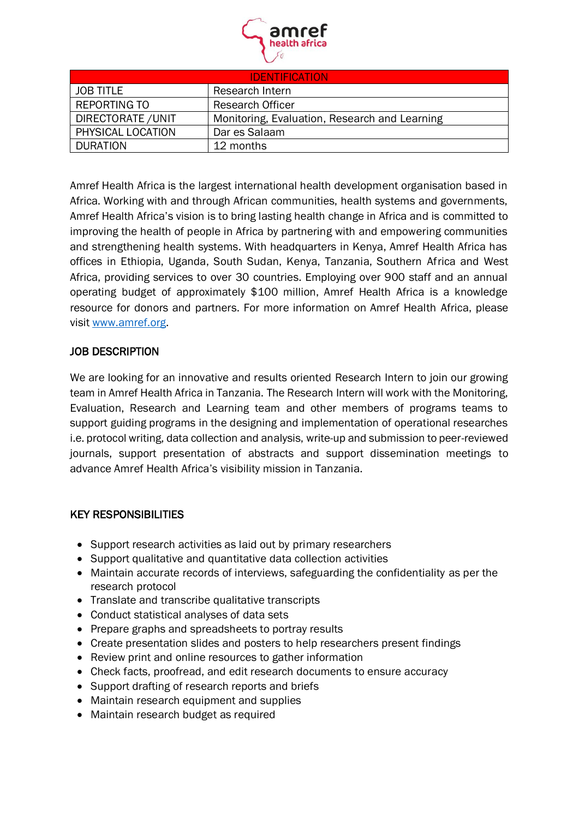

| <b>IDENTIFICATION</b> |                                               |
|-----------------------|-----------------------------------------------|
| <b>JOB TITLE</b>      | Research Intern                               |
| <b>REPORTING TO</b>   | <b>Research Officer</b>                       |
| DIRECTORATE / UNIT    | Monitoring, Evaluation, Research and Learning |
| PHYSICAL LOCATION     | Dar es Salaam                                 |
| <b>DURATION</b>       | 12 months                                     |

Amref Health Africa is the largest international health development organisation based in Africa. Working with and through African communities, health systems and governments, Amref Health Africa's vision is to bring lasting health change in Africa and is committed to improving the health of people in Africa by partnering with and empowering communities and strengthening health systems. With headquarters in Kenya, Amref Health Africa has offices in Ethiopia, Uganda, South Sudan, Kenya, Tanzania, Southern Africa and West Africa, providing services to over 30 countries. Employing over 900 staff and an annual operating budget of approximately \$100 million, Amref Health Africa is a knowledge resource for donors and partners. For more information on Amref Health Africa, please visit [www.amref.org.](http://www.amref.org/)

# JOB DESCRIPTION

We are looking for an innovative and results oriented Research Intern to join our growing team in Amref Health Africa in Tanzania. The Research Intern will work with the Monitoring, Evaluation, Research and Learning team and other members of programs teams to support guiding programs in the designing and implementation of operational researches i.e. protocol writing, data collection and analysis, write-up and submission to peer-reviewed journals, support presentation of abstracts and support dissemination meetings to advance Amref Health Africa's visibility mission in Tanzania.

# KEY RESPONSIBILITIES

- Support research activities as laid out by primary researchers
- Support qualitative and quantitative data collection activities
- Maintain accurate records of interviews, safeguarding the confidentiality as per the research protocol
- Translate and transcribe qualitative transcripts
- Conduct statistical analyses of data sets
- Prepare graphs and spreadsheets to portray results
- Create presentation slides and posters to help researchers present findings
- Review print and online resources to gather information
- Check facts, proofread, and edit research documents to ensure accuracy
- Support drafting of research reports and briefs
- Maintain research equipment and supplies
- Maintain research budget as required